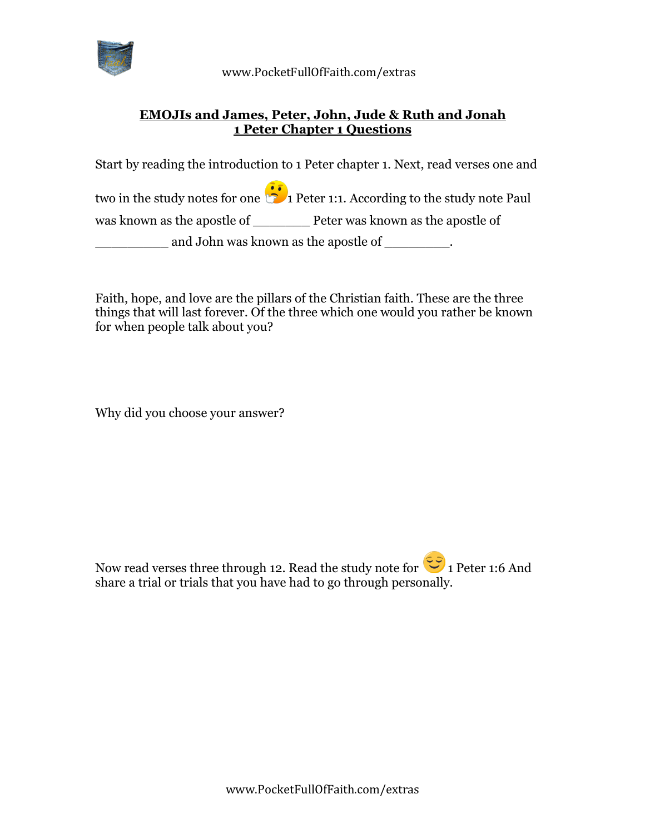

 www.PocketFullOfFaith.com/extras

## **EMOJIs and James, Peter, John, Jude & Ruth and Jonah 1 Peter Chapter 1 Questions**

Start by reading the introduction to 1 Peter chapter 1. Next, read verses one and

two in the study notes for one  $\ddot{\bullet}$  1 Peter 1:1. According to the study note Paul was known as the apostle of **Peter was known as the apostle of** 

and John was known as the apostle of \_\_\_\_\_\_\_\_.

Faith, hope, and love are the pillars of the Christian faith. These are the three things that will last forever. Of the three which one would you rather be known for when people talk about you?

Why did you choose your answer?

Now read verses three through 12. Read the study note for  $\ddot{\bullet}$  1 Peter 1:6 And share a trial or trials that you have had to go through personally.